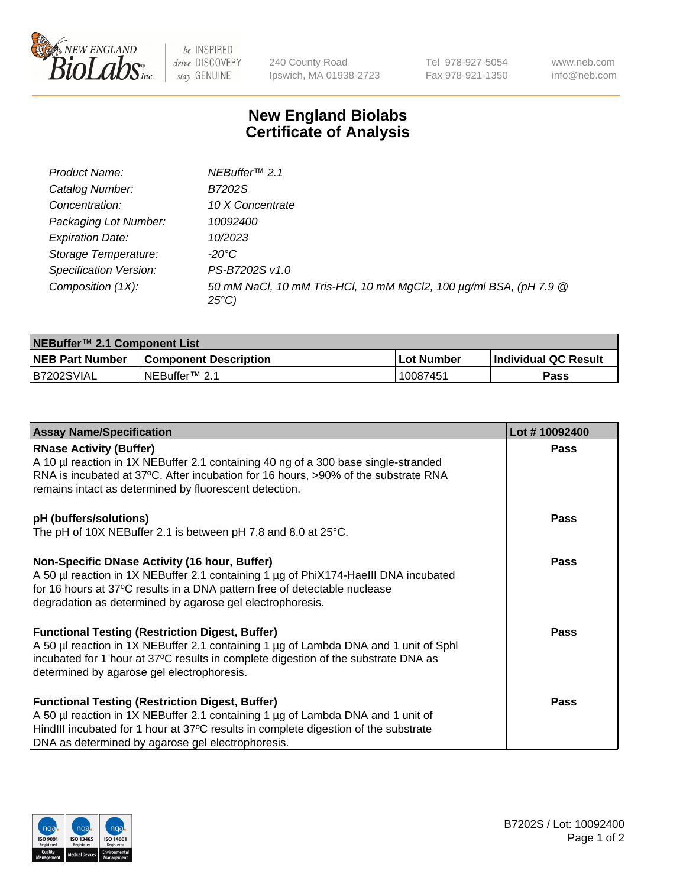

 $be$  INSPIRED drive DISCOVERY stay GENUINE

240 County Road Ipswich, MA 01938-2723 Tel 978-927-5054 Fax 978-921-1350 www.neb.com info@neb.com

## **New England Biolabs Certificate of Analysis**

| Product Name:           | NEBuffer <sup>™</sup> 2.1                                                          |
|-------------------------|------------------------------------------------------------------------------------|
| Catalog Number:         | B7202S                                                                             |
| Concentration:          | 10 X Concentrate                                                                   |
| Packaging Lot Number:   | 10092400                                                                           |
| <b>Expiration Date:</b> | 10/2023                                                                            |
| Storage Temperature:    | -20°C                                                                              |
| Specification Version:  | PS-B7202S v1.0                                                                     |
| Composition (1X):       | 50 mM NaCl, 10 mM Tris-HCl, 10 mM MgCl2, 100 µg/ml BSA, (pH 7.9 @<br>$25^{\circ}C$ |

| NEBuffer <sup>™</sup> 2.1 Component List |                              |              |                             |  |  |
|------------------------------------------|------------------------------|--------------|-----------------------------|--|--|
| <b>NEB Part Number</b>                   | <b>Component Description</b> | . Lot Number | <b>Individual QC Result</b> |  |  |
| B7202SVIAL                               | NEBuffer™ 2.1                | 10087451     | <b>Pass</b>                 |  |  |

| <b>Assay Name/Specification</b>                                                                                                                                                                                                                                                       | Lot #10092400 |
|---------------------------------------------------------------------------------------------------------------------------------------------------------------------------------------------------------------------------------------------------------------------------------------|---------------|
| <b>RNase Activity (Buffer)</b><br>A 10 µl reaction in 1X NEBuffer 2.1 containing 40 ng of a 300 base single-stranded<br>RNA is incubated at 37°C. After incubation for 16 hours, >90% of the substrate RNA<br>remains intact as determined by fluorescent detection.                  | <b>Pass</b>   |
| pH (buffers/solutions)<br>The pH of 10X NEBuffer 2.1 is between pH 7.8 and 8.0 at 25°C.                                                                                                                                                                                               | <b>Pass</b>   |
| Non-Specific DNase Activity (16 hour, Buffer)<br>A 50 µl reaction in 1X NEBuffer 2.1 containing 1 µg of PhiX174-HaellI DNA incubated<br>for 16 hours at 37°C results in a DNA pattern free of detectable nuclease<br>degradation as determined by agarose gel electrophoresis.        | Pass          |
| <b>Functional Testing (Restriction Digest, Buffer)</b><br>A 50 µl reaction in 1X NEBuffer 2.1 containing 1 µg of Lambda DNA and 1 unit of Sphl<br>incubated for 1 hour at 37°C results in complete digestion of the substrate DNA as<br>determined by agarose gel electrophoresis.    | <b>Pass</b>   |
| <b>Functional Testing (Restriction Digest, Buffer)</b><br>A 50 µl reaction in 1X NEBuffer 2.1 containing 1 µg of Lambda DNA and 1 unit of<br>HindIII incubated for 1 hour at 37°C results in complete digestion of the substrate<br>DNA as determined by agarose gel electrophoresis. | <b>Pass</b>   |